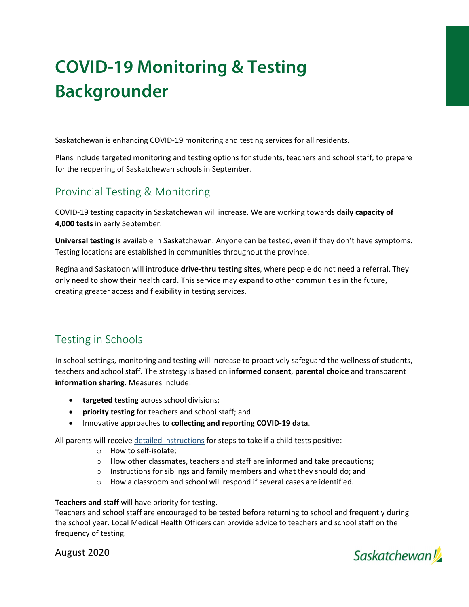# **COVID-19 Monitoring & Testing Backgrounder**

Saskatchewan is enhancing COVID‐19 monitoring and testing services for all residents.

Plans include targeted monitoring and testing options for students, teachers and school staff, to prepare for the reopening of Saskatchewan schools in September.

## Provincial Testing & Monitoring

COVID‐19 testing capacity in Saskatchewan will increase. We are working towards **daily capacity of 4,000 tests** in early September.

**Universal testing** is available in Saskatchewan. Anyone can be tested, even if they don't have symptoms. Testing locations are established in communities throughout the province.

Regina and Saskatoon will introduce **drive‐thru testing sites**, where people do not need a referral. They only need to show their health card. This service may expand to other communities in the future, creating greater access and flexibility in testing services.

## Testing in Schools

In school settings, monitoring and testing will increase to proactively safeguard the wellness of students, teachers and school staff. The strategy is based on **informed consent**, **parental choice** and transparent **information sharing**. Measures include:

- **targeted testing** across school divisions;
- **priority testing** for teachers and school staff; and
- Innovative approaches to **collecting and reporting COVID‐19 data**.

All parents will receive detailed instructions for steps to take if a child tests positive:

- o How to self‐isolate;
- o How other classmates, teachers and staff are informed and take precautions;
- o Instructions for siblings and family members and what they should do; and
- o How a classroom and school will respond if several cases are identified.

#### **Teachers and staff** will have priority for testing.

Teachers and school staff are encouraged to be tested before returning to school and frequently during the school year. Local Medical Health Officers can provide advice to teachers and school staff on the frequency of testing.

August 2020